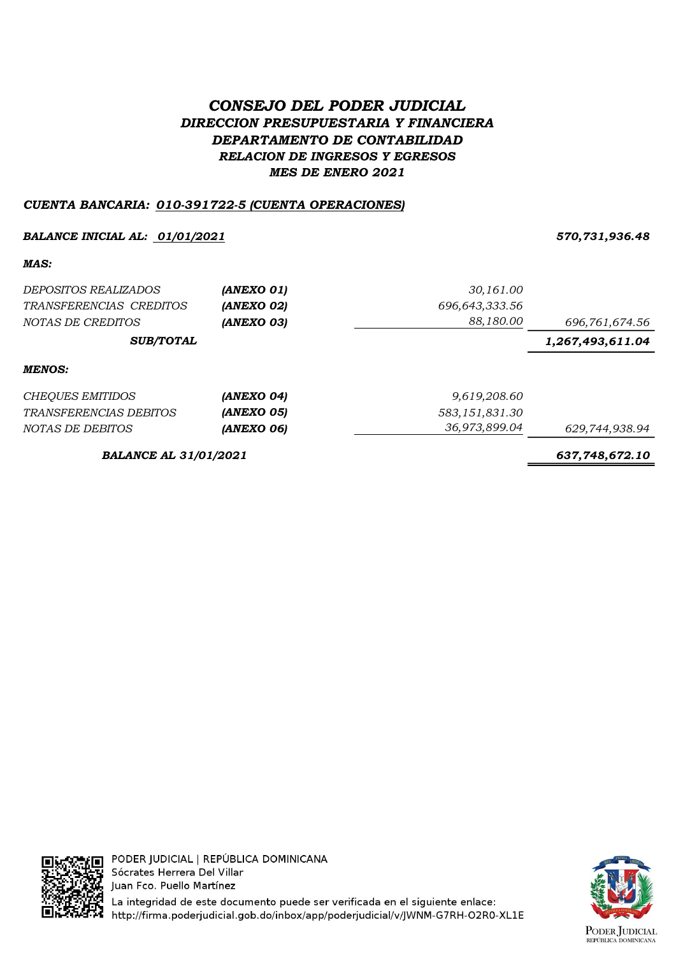# CONSEJO DEL PODER JUDICIAL DIRECCION PRESUPUESTARIA Y FINANCIERA DEPARTAMENTO DE CONTABILIDAD RELACION DE INGRESOS Y EGRESOS MES DE ENERO 2021

## CUENTA BANCARIA: 010-391722-5 (CUENTA OPERACIONES)

## BALANCE INICIAL AL: 01/01/2021 570,731,936.48

MAS:

| <i>DEPOSITOS REALIZADOS</i>  | (ANEXO 01)        | 30,161.00      |                  |
|------------------------------|-------------------|----------------|------------------|
| TRANSFERENCIAS CREDITOS      | (ANEXO 02)        | 696,643,333.56 |                  |
| NOTAS DE CREDITOS            | (ANEXO 03)        | 88,180.00      | 696,761,674.56   |
| <b>SUB/TOTAL</b>             |                   |                | 1,267,493,611.04 |
| <b>MENOS:</b>                |                   |                |                  |
| CHEQUES EMITIDOS             | (ANEXO 04)        | 9,619,208.60   |                  |
| TRANSFERENCIAS DEBITOS       | <b>(ANEXO 05)</b> | 583,151,831.30 |                  |
| NOTAS DE DEBITOS             | (ANEXO 06)        | 36,973,899.04  | 629,744,938.94   |
| <b>BALANCE AL 31/01/2021</b> | 637,748,672.10    |                |                  |



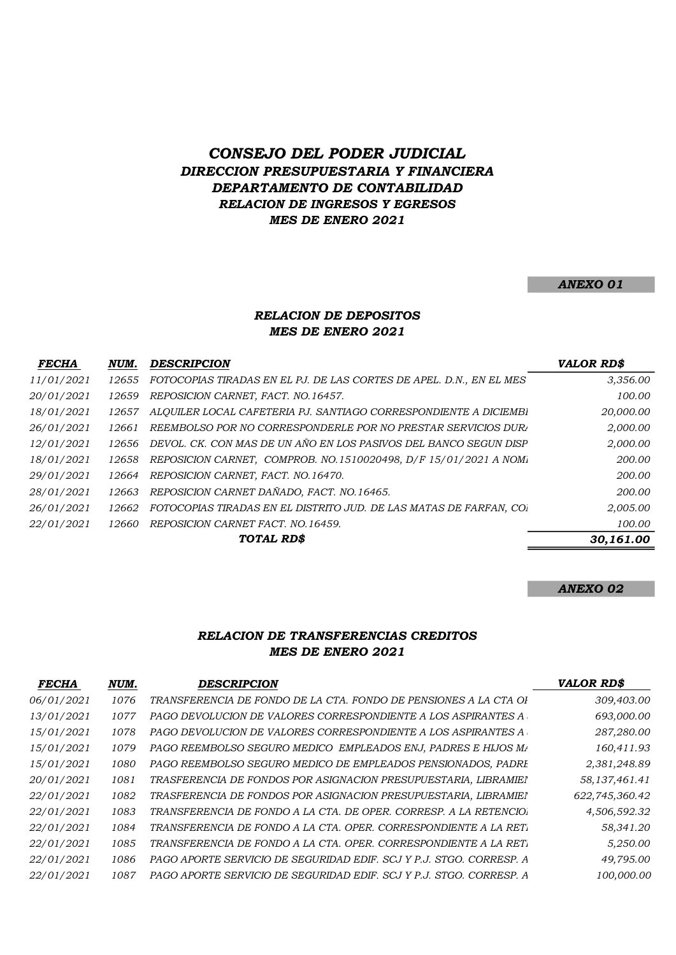## CONSEJO DEL PODER JUDICIAL DIRECCION PRESUPUESTARIA Y FINANCIERA DEPARTAMENTO DE CONTABILIDAD RELACION DE INGRESOS Y EGRESOS MES DE ENERO 2021

#### ANEXO 01

#### RELACION DE DEPOSITOS MES DE ENERO 2021

| <b>FECHA</b> | NUM.  | <b>DESCRIPCION</b>                                                  | <b>VALOR RD\$</b> |
|--------------|-------|---------------------------------------------------------------------|-------------------|
| 11/01/2021   | 12655 | FOTOCOPIAS TIRADAS EN EL PJ. DE LAS CORTES DE APEL. D.N., EN EL MES | 3,356.00          |
| 20/01/2021   | 12659 | REPOSICION CARNET, FACT. NO.16457.                                  | 100.00            |
| 18/01/2021   | 12657 | ALOUILER LOCAL CAFETERIA PJ. SANTIAGO CORRESPONDIENTE A DICIEMBI    | 20,000.00         |
| 26/01/2021   | 12661 | REEMBOLSO POR NO CORRESPONDERLE POR NO PRESTAR SERVICIOS DURA       | 2,000.00          |
| 12/01/2021   | 12656 | DEVOL. CK. CON MAS DE UN AÑO EN LOS PASIVOS DEL BANCO SEGUN DISP    | 2,000.00          |
| 18/01/2021   | 12658 | REPOSICION CARNET, COMPROB. NO.1510020498, D/F 15/01/2021 A NOM.    | 200.00            |
| 29/01/2021   | 12664 | REPOSICION CARNET, FACT. NO.16470.                                  | 200.00            |
| 28/01/2021   | 12663 | REPOSICION CARNET DAÑADO, FACT. NO.16465.                           | 200.00            |
| 26/01/2021   | 12662 | FOTOCOPIAS TIRADAS EN EL DISTRITO JUD. DE LAS MATAS DE FARFAN, CO.  | 2,005.00          |
| 22/01/2021   | 12660 | REPOSICION CARNET FACT. NO.16459.                                   | 100.00            |
|              |       | TOTAL RD\$                                                          | 30,161.00         |

#### ANEXO 02

#### RELACION DE TRANSFERENCIAS CREDITOS MES DE ENERO 2021

| <b>FECHA</b> | NUM. | <b>DESCRIPCION</b>                                                  | <b>VALOR RD\$</b> |
|--------------|------|---------------------------------------------------------------------|-------------------|
| 06/01/2021   | 1076 | TRANSFERENCIA DE FONDO DE LA CTA. FONDO DE PENSIONES A LA CTA OI    | 309,403.00        |
| 13/01/2021   | 1077 | PAGO DEVOLUCION DE VALORES CORRESPONDIENTE A LOS ASPIRANTES A       | 693,000.00        |
| 15/01/2021   | 1078 | PAGO DEVOLUCION DE VALORES CORRESPONDIENTE A LOS ASPIRANTES A       | 287,280.00        |
| 15/01/2021   | 1079 | PAGO REEMBOLSO SEGURO MEDICO EMPLEADOS ENJ, PADRES E HIJOS M/       | 160,411.93        |
| 15/01/2021   | 1080 | PAGO REEMBOLSO SEGURO MEDICO DE EMPLEADOS PENSIONADOS, PADRI        | 2,381,248.89      |
| 20/01/2021   | 1081 | TRASFERENCIA DE FONDOS POR ASIGNACION PRESUPUESTARIA, LIBRAMIEI     | 58, 137, 461.41   |
| 22/01/2021   | 1082 | TRASFERENCIA DE FONDOS POR ASIGNACION PRESUPUESTARIA, LIBRAMIEI     | 622,745,360.42    |
| 22/01/2021   | 1083 | TRANSFERENCIA DE FONDO A LA CTA. DE OPER. CORRESP. A LA RETENCIO.   | 4,506,592.32      |
| 22/01/2021   | 1084 | TRANSFERENCIA DE FONDO A LA CTA. OPER. CORRESPONDIENTE A LA RET.    | 58,341.20         |
| 22/01/2021   | 1085 | TRANSFERENCIA DE FONDO A LA CTA. OPER. CORRESPONDIENTE A LA RET.    | 5,250.00          |
| 22/01/2021   | 1086 | PAGO APORTE SERVICIO DE SEGURIDAD EDIF. SCJ Y P.J. STGO. CORRESP. A | 49,795.00         |
| 22/01/2021   | 1087 | PAGO APORTE SERVICIO DE SEGURIDAD EDIF. SCJ Y P.J. STGO. CORRESP. A | 100,000.00        |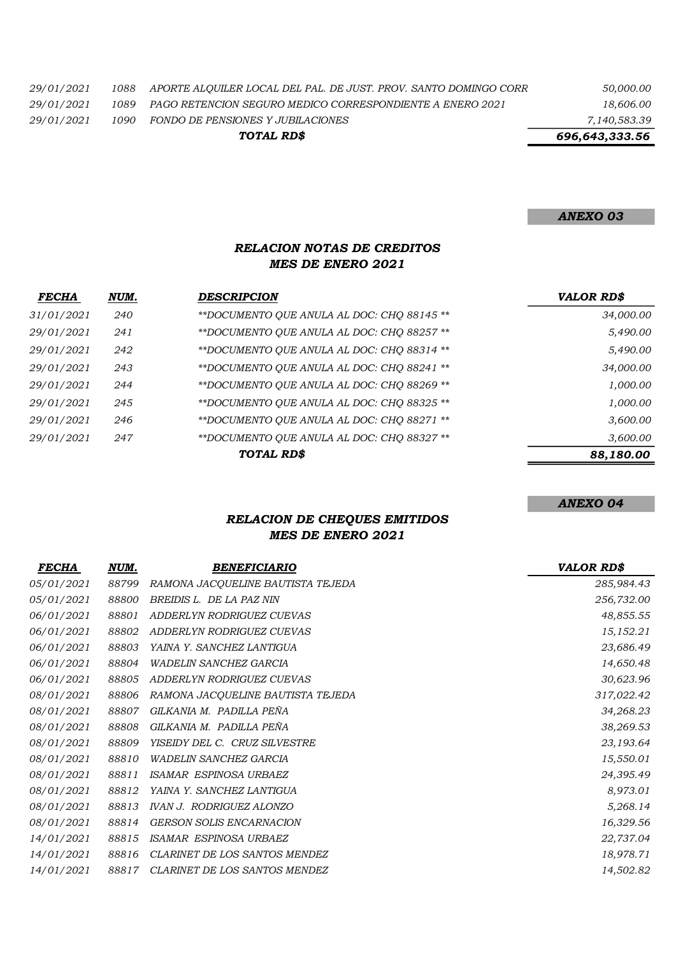| 29/01/2021 |  | 1088 APORTE ALOUILER LOCAL DEL PAL. DE JUST. PROV. SANTO DOMINGO CORR | 50,000.00 |
|------------|--|-----------------------------------------------------------------------|-----------|
|------------|--|-----------------------------------------------------------------------|-----------|

29/01/2021 1089 PAGO RETENCION SEGURO MEDICO CORRESPONDIENTE A ENERO 2021 18,606.00

29/01/2021 1090 FONDO DE PENSIONES Y JUBILACIONES 7,140,583.39

TOTAL RD\$

696,643,333.56

ANEXO 03

#### RELACION NOTAS DE CREDITOS MES DE ENERO 2021

| <b>FECHA</b>      | NUM. | <b>DESCRIPCION</b>                         | <b>VALOR RD\$</b> |
|-------------------|------|--------------------------------------------|-------------------|
| 31/01/2021        | 240  | **DOCUMENTO OUE ANULA AL DOC: CHO 88145 ** | 34,000.00         |
| 29/01/2021        | 241  | **DOCUMENTO OUE ANULA AL DOC: CHO 88257 ** | 5,490.00          |
| 29/01/2021        | 242  | **DOCUMENTO OUE ANULA AL DOC: CHO 88314 ** | 5,490.00          |
| <i>29/01/2021</i> | 243  | **DOCUMENTO OUE ANULA AL DOC: CHO 88241 ** | 34,000.00         |
| <i>29/01/2021</i> | 244  | **DOCUMENTO OUE ANULA AL DOC: CHO 88269 ** | 1,000.00          |
| <i>29/01/2021</i> | 245  | **DOCUMENTO OUE ANULA AL DOC: CHO 88325 ** | 1,000.00          |
| 29/01/2021        | 246  | **DOCUMENTO QUE ANULA AL DOC: CHQ 88271 ** | 3,600.00          |
| 29/01/2021        | 247  | **DOCUMENTO QUE ANULA AL DOC: CHQ 88327 ** | 3,600.00          |
|                   |      | TOTAL RD\$                                 | 88,180.00         |
|                   |      |                                            |                   |

ANEXO 04

## RELACION DE CHEQUES EMITIDOS MES DE ENERO 2021

| <b>FECHA</b>      | NUM.  | <b>BENEFICIARIO</b>               | <b>VALOR RD\$</b> |
|-------------------|-------|-----------------------------------|-------------------|
| <i>05/01/2021</i> | 88799 | RAMONA JACQUELINE BAUTISTA TEJEDA | 285,984.43        |
| 05/01/2021        | 88800 | BREIDIS L. DE LA PAZ NIN          | 256,732.00        |
| 06/01/2021        | 88801 | ADDERLYN RODRIGUEZ CUEVAS         | 48,855.55         |
| 06/01/2021        | 88802 | ADDERLYN RODRIGUEZ CUEVAS         | 15,152.21         |
| 06/01/2021        | 88803 | YAINA Y. SANCHEZ LANTIGUA         | 23,686.49         |
| 06/01/2021        | 88804 | <b>WADELIN SANCHEZ GARCIA</b>     | 14,650.48         |
| 06/01/2021        | 88805 | ADDERLYN RODRIGUEZ CUEVAS         | 30,623.96         |
| 08/01/2021        | 88806 | RAMONA JACQUELINE BAUTISTA TEJEDA | 317,022.42        |
| 08/01/2021        | 88807 | GILKANIA M. PADILLA PEÑA          | 34,268.23         |
| 08/01/2021        | 88808 | GILKANIA M. PADILLA PEÑA          | 38,269.53         |
| 08/01/2021        | 88809 | YISEIDY DEL C. CRUZ SILVESTRE     | 23,193.64         |
| 08/01/2021        | 88810 | WADELIN SANCHEZ GARCIA            | 15,550.01         |
| 08/01/2021        | 88811 | ISAMAR ESPINOSA URBAEZ            | 24,395.49         |
| 08/01/2021        | 88812 | YAINA Y. SANCHEZ LANTIGUA         | 8,973.01          |
| 08/01/2021        | 88813 | <b>IVAN J. RODRIGUEZ ALONZO</b>   | 5,268.14          |
| 08/01/2021        | 88814 | <b>GERSON SOLIS ENCARNACION</b>   | 16,329.56         |
| 14/01/2021        | 88815 | ISAMAR ESPINOSA URBAEZ            | 22,737.04         |
| 14/01/2021        | 88816 | CLARINET DE LOS SANTOS MENDEZ     | 18,978.71         |
| 14/01/2021        | 88817 | CLARINET DE LOS SANTOS MENDEZ     | 14,502.82         |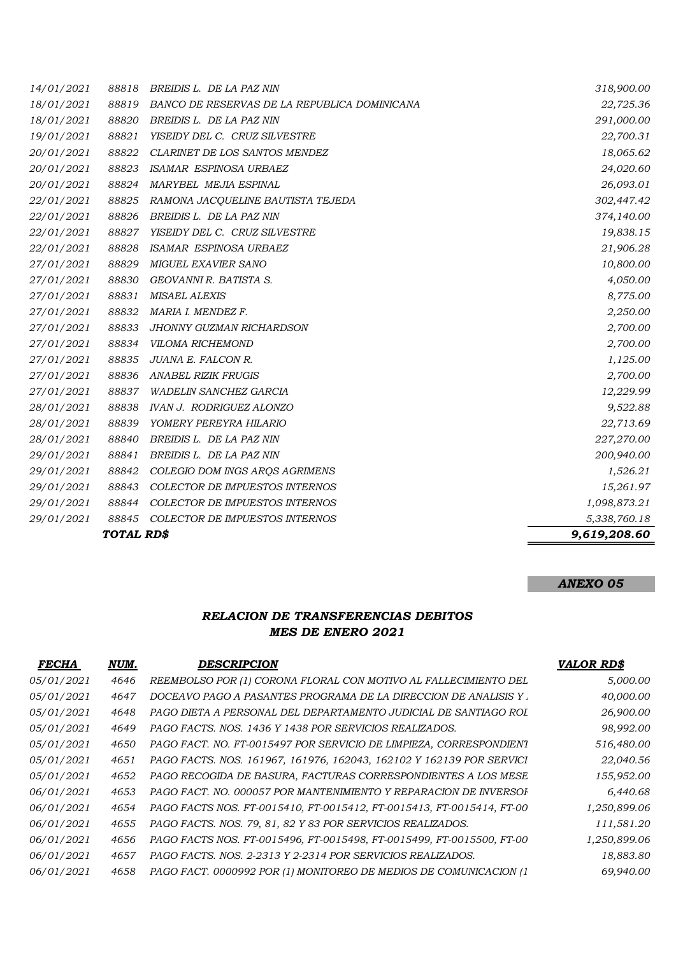| 14/01/2021 | 88818      | BREIDIS L. DE LA PAZ NIN                     | 318,900.00   |
|------------|------------|----------------------------------------------|--------------|
| 18/01/2021 | 88819      | BANCO DE RESERVAS DE LA REPUBLICA DOMINICANA | 22,725.36    |
| 18/01/2021 | 88820      | BREIDIS L. DE LA PAZ NIN                     | 291,000.00   |
| 19/01/2021 | 88821      | YISEIDY DEL C. CRUZ SILVESTRE                | 22,700.31    |
| 20/01/2021 | 88822      | CLARINET DE LOS SANTOS MENDEZ                | 18,065.62    |
| 20/01/2021 | 88823      | ISAMAR ESPINOSA URBAEZ                       | 24,020.60    |
| 20/01/2021 | 88824      | MARYBEL MEJIA ESPINAL                        | 26,093.01    |
| 22/01/2021 | 88825      | RAMONA JACQUELINE BAUTISTA TEJEDA            | 302,447.42   |
| 22/01/2021 | 88826      | BREIDIS L. DE LA PAZ NIN                     | 374,140.00   |
| 22/01/2021 | 88827      | YISEIDY DEL C. CRUZ SILVESTRE                | 19,838.15    |
| 22/01/2021 | 88828      | ISAMAR ESPINOSA URBAEZ                       | 21,906.28    |
| 27/01/2021 | 88829      | MIGUEL EXAVIER SANO                          | 10,800.00    |
| 27/01/2021 | 88830      | GEOVANNI R. BATISTA S.                       | 4,050.00     |
| 27/01/2021 | 88831      | <b>MISAEL ALEXIS</b>                         | 8,775.00     |
| 27/01/2021 | 88832      | MARIA I. MENDEZ F.                           | 2,250.00     |
| 27/01/2021 | 88833      | <b>JHONNY GUZMAN RICHARDSON</b>              | 2,700.00     |
| 27/01/2021 | 88834      | <b>VILOMA RICHEMOND</b>                      | 2,700.00     |
| 27/01/2021 | 88835      | JUANA E. FALCON R.                           | 1,125.00     |
| 27/01/2021 | 88836      | <b>ANABEL RIZIK FRUGIS</b>                   | 2,700.00     |
| 27/01/2021 | 88837      | <b>WADELIN SANCHEZ GARCIA</b>                | 12,229.99    |
| 28/01/2021 | 88838      | <b>IVAN J. RODRIGUEZ ALONZO</b>              | 9,522.88     |
| 28/01/2021 | 88839      | YOMERY PEREYRA HILARIO                       | 22,713.69    |
| 28/01/2021 | 88840      | BREIDIS L. DE LA PAZ NIN                     | 227,270.00   |
| 29/01/2021 | 88841      | BREIDIS L. DE LA PAZ NIN                     | 200,940.00   |
| 29/01/2021 | 88842      | COLEGIO DOM INGS ARQS AGRIMENS               | 1,526.21     |
| 29/01/2021 | 88843      | COLECTOR DE IMPUESTOS INTERNOS               | 15,261.97    |
| 29/01/2021 | 88844      | COLECTOR DE IMPUESTOS INTERNOS               | 1,098,873.21 |
| 29/01/2021 | 88845      | COLECTOR DE IMPUESTOS INTERNOS               | 5,338,760.18 |
|            | TOTAL RD\$ |                                              | 9,619,208.60 |

## ANEXO 05

### RELACION DE TRANSFERENCIAS DEBITOS MES DE ENERO 2021

| <b>FECHA</b>      | NUM. | <b>DESCRIPCION</b>                                                    | <b>VALOR RD\$</b> |
|-------------------|------|-----------------------------------------------------------------------|-------------------|
| 05/01/2021        | 4646 | REEMBOLSO POR (1) CORONA FLORAL CON MOTIVO AL FALLECIMIENTO DEL       | 5,000.00          |
| <i>05/01/2021</i> | 4647 | DOCEAVO PAGO A PASANTES PROGRAMA DE LA DIRECCIÓN DE ANALISIS Y .      | 40,000.00         |
| 05/01/2021        | 4648 | PAGO DIETA A PERSONAL DEL DEPARTAMENTO JUDICIAL DE SANTIAGO ROL       | 26,900.00         |
| <i>05/01/2021</i> | 4649 | PAGO FACTS. NOS. 1436 Y 1438 POR SERVICIOS REALIZADOS.                | 98,992.00         |
| <i>05/01/2021</i> | 4650 | PAGO FACT. NO. FT-0015497 POR SERVICIO DE LIMPIEZA, CORRESPONDIENT    | 516,480.00        |
| <i>05/01/2021</i> | 4651 | PAGO FACTS. NOS. 161967, 161976, 162043, 162102 Y 162139 POR SERVICI  | 22,040.56         |
| <i>05/01/2021</i> | 4652 | PAGO RECOGIDA DE BASURA, FACTURAS CORRESPONDIENTES A LOS MESE         | 155,952.00        |
| <i>06/01/2021</i> | 4653 | PAGO FACT. NO. 000057 POR MANTENIMIENTO Y REPARACION DE INVERSOI      | 6,440.68          |
| 06/01/2021        | 4654 | PAGO FACTS NOS. FT-0015410, FT-0015412, FT-0015413, FT-0015414, FT-00 | 1,250,899.06      |
| <i>06/01/2021</i> | 4655 | PAGO FACTS. NOS. 79, 81, 82 Y 83 POR SERVICIOS REALIZADOS.            | 111,581.20        |
| <i>06/01/2021</i> | 4656 | PAGO FACTS NOS. FT-0015496, FT-0015498, FT-0015499, FT-0015500, FT-00 | 1,250,899.06      |
| <i>06/01/2021</i> | 4657 | PAGO FACTS. NOS. 2-2313 Y 2-2314 POR SERVICIOS REALIZADOS.            | 18,883.80         |
| 06/01/2021        | 4658 | PAGO FACT. 0000992 POR (1) MONITOREO DE MEDIOS DE COMUNICACION (1     | 69,940.00         |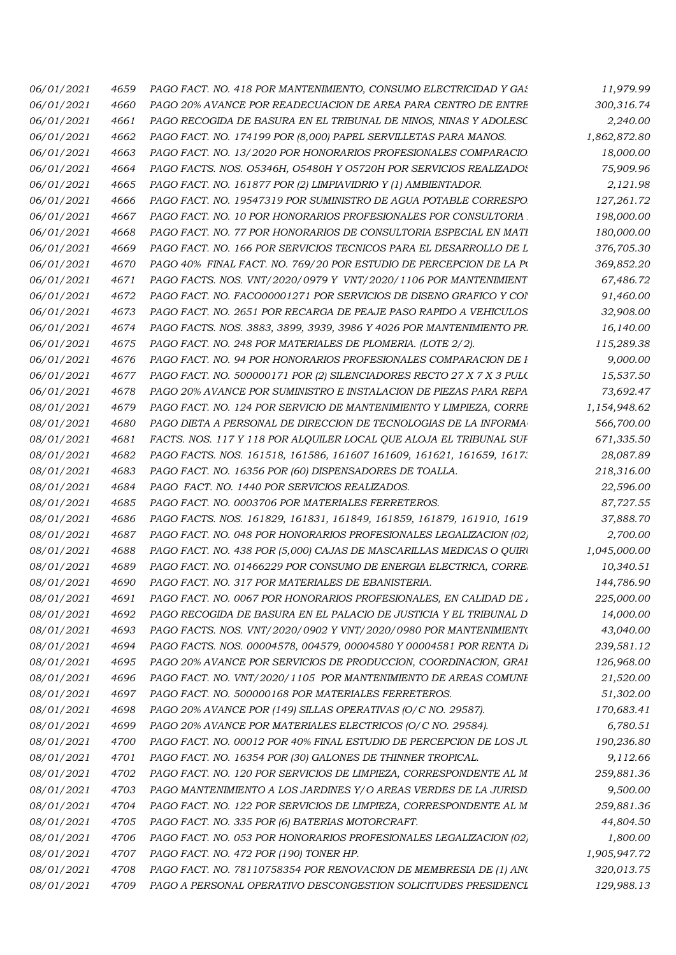| 06/01/2021               | 4659 | PAGO FACT. NO. 418 POR MANTENIMIENTO, CONSUMO ELECTRICIDAD Y GAS      | 11,979.99    |
|--------------------------|------|-----------------------------------------------------------------------|--------------|
| 06/01/2021               | 4660 | PAGO 20% AVANCE POR READECUACION DE AREA PARA CENTRO DE ENTRE         | 300,316.74   |
| 06/01/2021               | 4661 | PAGO RECOGIDA DE BASURA EN EL TRIBUNAL DE NINOS, NINAS Y ADOLESC      | 2,240.00     |
| <i>06/01/2021</i>        | 4662 | PAGO FACT. NO. 174199 POR (8,000) PAPEL SERVILLETAS PARA MANOS.       | 1,862,872.80 |
| 06/01/2021               | 4663 | PAGO FACT. NO. 13/2020 POR HONORARIOS PROFESIONALES COMPARACIO        | 18,000.00    |
| <i>06/01/2021</i>        | 4664 | PAGO FACTS. NOS. 05346H, 05480H Y 05720H POR SERVICIOS REALIZADOS     | 75,909.96    |
| <i>06/01/2021</i>        | 4665 | PAGO FACT. NO. 161877 POR (2) LIMPIAVIDRIO Y (1) AMBIENTADOR.         | 2,121.98     |
| 06/01/2021               | 4666 | PAGO FACT. NO. 19547319 POR SUMINISTRO DE AGUA POTABLE CORRESPO       | 127,261.72   |
| 06/01/2021               | 4667 | PAGO FACT. NO. 10 POR HONORARIOS PROFESIONALES POR CONSULTORIA        | 198,000.00   |
| <i>06/01/2021</i>        | 4668 | PAGO FACT. NO. 77 POR HONORARIOS DE CONSULTORIA ESPECIAL EN MATI      | 180,000.00   |
| <i>06/01/2021</i>        | 4669 | PAGO FACT. NO. 166 POR SERVICIOS TECNICOS PARA EL DESARROLLO DE L     | 376,705.30   |
| <i>06/01/2021</i>        | 4670 | PAGO 40% FINAL FACT. NO. 769/20 POR ESTUDIO DE PERCEPCION DE LA PO    | 369,852.20   |
| <i>06/01/2021</i>        | 4671 | PAGO FACTS. NOS. VNT/2020/0979 Y VNT/2020/1106 POR MANTENIMIENT       | 67,486.72    |
| 06/01/2021               | 4672 | PAGO FACT. NO. FACO00001271 POR SERVICIOS DE DISENO GRAFICO Y COI     | 91,460.00    |
| <i>06/01/2021</i>        | 4673 | PAGO FACT. NO. 2651 POR RECARGA DE PEAJE PASO RAPIDO A VEHICULOS      | 32,908.00    |
| 06/01/2021               | 4674 | PAGO FACTS. NOS. 3883, 3899, 3939, 3986 Y 4026 POR MANTENIMIENTO PR.  | 16,140.00    |
| <i>06/01/2021</i>        | 4675 | PAGO FACT. NO. 248 POR MATERIALES DE PLOMERIA. (LOTE 2/2).            | 115,289.38   |
| 06/01/2021               | 4676 | PAGO FACT. NO. 94 POR HONORARIOS PROFESIONALES COMPARACION DE I       | 9,000.00     |
| 06/01/2021               | 4677 | PAGO FACT. NO. 500000171 POR (2) SILENCIADORES RECTO 27 X 7 X 3 PULC  | 15,537.50    |
| <i>06/01/2021</i>        | 4678 | PAGO 20% AVANCE POR SUMINISTRO E INSTALACION DE PIEZAS PARA REPA      | 73,692.47    |
| <i>08/01/2021</i>        | 4679 | PAGO FACT. NO. 124 POR SERVICIO DE MANTENIMIENTO Y LIMPIEZA, CORRE    | 1,154,948.62 |
| <i>08/01/2021</i>        | 4680 | PAGO DIETA A PERSONAL DE DIRECCION DE TECNOLOGIAS DE LA INFORMA       | 566,700.00   |
| <i>08/01/2021</i>        | 4681 | FACTS. NOS. 117 Y 118 POR ALQUILER LOCAL QUE ALOJA EL TRIBUNAL SUF    | 671,335.50   |
| <i>08/01/2021</i>        | 4682 | PAGO FACTS. NOS. 161518, 161586, 161607 161609, 161621, 161659, 1617. | 28,087.89    |
| 08/01/2021               | 4683 | PAGO FACT. NO. 16356 POR (60) DISPENSADORES DE TOALLA.                | 218,316.00   |
| <i>08/01/2021</i>        | 4684 | PAGO FACT. NO. 1440 POR SERVICIOS REALIZADOS.                         | 22,596.00    |
| <i>08/01/2021</i>        | 4685 | PAGO FACT. NO. 0003706 POR MATERIALES FERRETEROS.                     | 87,727.55    |
| <i>08/01/2021</i>        | 4686 | PAGO FACTS. NOS. 161829, 161831, 161849, 161859, 161879, 161910, 1619 | 37,888.70    |
| <i>08/01/2021</i>        | 4687 | PAGO FACT. NO. 048 POR HONORARIOS PROFESIONALES LEGALIZACION (02)     | 2,700.00     |
| <i>08/01/2021</i>        | 4688 | PAGO FACT. NO. 438 POR (5,000) CAJAS DE MASCARILLAS MEDICAS O QUIRI   | 1,045,000.00 |
| <i>08/01/2021</i>        | 4689 | PAGO FACT. NO. 01466229 POR CONSUMO DE ENERGIA ELECTRICA, CORRE       | 10,340.51    |
| <i>08/01/2021</i>        | 4690 | PAGO FACT. NO. 317 POR MATERIALES DE EBANISTERIA.                     | 144,786.90   |
| 08/01/2021               | 4691 | PAGO FACT. NO. 0067 POR HONORARIOS PROFESIONALES, EN CALIDAD DE.      | 225,000.00   |
|                          |      |                                                                       |              |
| 08/01/2021<br>08/01/2021 | 4692 | PAGO RECOGIDA DE BASURA EN EL PALACIO DE JUSTICIA Y EL TRIBUNAL D     | 14,000.00    |
|                          | 4693 | PAGO FACTS. NOS. VNT/2020/0902 Y VNT/2020/0980 POR MANTENIMIENT       | 43,040.00    |
| 08/01/2021               | 4694 | PAGO FACTS. NOS. 00004578, 004579, 00004580 Y 00004581 POR RENTA D.   | 239,581.12   |
| 08/01/2021               | 4695 | PAGO 20% AVANCE POR SERVICIOS DE PRODUCCION, COORDINACION, GRAI       | 126,968.00   |
| 08/01/2021               | 4696 | PAGO FACT. NO. VNT/2020/1105 POR MANTENIMIENTO DE AREAS COMUNI        | 21,520.00    |
| 08/01/2021               | 4697 | PAGO FACT. NO. 500000168 POR MATERIALES FERRETEROS.                   | 51,302.00    |
| 08/01/2021               | 4698 | PAGO 20% AVANCE POR (149) SILLAS OPERATIVAS (O/C NO. 29587).          | 170,683.41   |
| 08/01/2021               | 4699 | PAGO 20% AVANCE POR MATERIALES ELECTRICOS (O/C NO. 29584).            | 6,780.51     |
| 08/01/2021               | 4700 | PAGO FACT. NO. 00012 POR 40% FINAL ESTUDIO DE PERCEPCION DE LOS JU    | 190,236.80   |
| 08/01/2021               | 4701 | PAGO FACT. NO. 16354 POR (30) GALONES DE THINNER TROPICAL.            | 9,112.66     |
| 08/01/2021               | 4702 | PAGO FACT. NO. 120 POR SERVICIOS DE LIMPIEZA, CORRESPONDENTE AL M     | 259,881.36   |
| 08/01/2021               | 4703 | PAGO MANTENIMIENTO A LOS JARDINES Y/O AREAS VERDES DE LA JURISD       | 9,500.00     |
| 08/01/2021               | 4704 | PAGO FACT. NO. 122 POR SERVICIOS DE LIMPIEZA, CORRESPONDENTE AL M     | 259,881.36   |
| 08/01/2021               | 4705 | PAGO FACT. NO. 335 POR (6) BATERIAS MOTORCRAFT.                       | 44,804.50    |
| 08/01/2021               | 4706 | PAGO FACT. NO. 053 POR HONORARIOS PROFESIONALES LEGALIZACION (02)     | 1,800.00     |
| 08/01/2021               | 4707 | PAGO FACT. NO. 472 POR (190) TONER HP.                                | 1,905,947.72 |
| 08/01/2021               | 4708 | PAGO FACT. NO. 78110758354 POR RENOVACION DE MEMBRESIA DE (1) ANO     | 320,013.75   |
| 08/01/2021               | 4709 | PAGO A PERSONAL OPERATIVO DESCONGESTION SOLICITUDES PRESIDENCI        | 129,988.13   |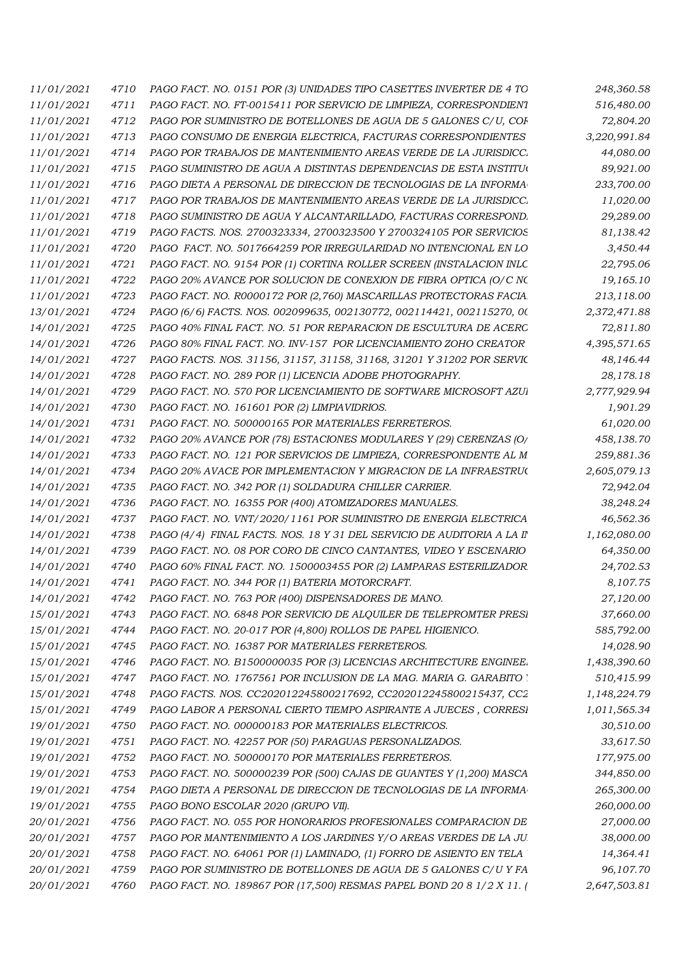| 11/01/2021               | 4710 | PAGO FACT. NO. 0151 POR (3) UNIDADES TIPO CASETTES INVERTER DE 4 TO    | 248,360.58   |
|--------------------------|------|------------------------------------------------------------------------|--------------|
| 11/01/2021               | 4711 | PAGO FACT. NO. FT-0015411 POR SERVICIO DE LIMPIEZA, CORRESPONDIEN1     | 516,480.00   |
| 11/01/2021               | 4712 | PAGO POR SUMINISTRO DE BOTELLONES DE AGUA DE 5 GALONES C/U, COI        | 72,804.20    |
| 11/01/2021               | 4713 | PAGO CONSUMO DE ENERGIA ELECTRICA, FACTURAS CORRESPONDIENTES           | 3,220,991.84 |
| 11/01/2021               | 4714 | PAGO POR TRABAJOS DE MANTENIMIENTO AREAS VERDE DE LA JURISDICC.        | 44,080.00    |
| 11/01/2021               | 4715 | PAGO SUMINISTRO DE AGUA A DISTINTAS DEPENDENCIAS DE ESTA INSTITUO      | 89,921.00    |
| 11/01/2021               | 4716 | PAGO DIETA A PERSONAL DE DIRECCION DE TECNOLOGIAS DE LA INFORMA        | 233,700.00   |
| 11/01/2021               | 4717 | PAGO POR TRABAJOS DE MANTENIMIENTO AREAS VERDE DE LA JURISDICC.        | 11,020.00    |
| 11/01/2021               | 4718 | PAGO SUMINISTRO DE AGUA Y ALCANTARILLADO, FACTURAS CORRESPOND.         | 29,289.00    |
| 11/01/2021               | 4719 | PAGO FACTS. NOS. 2700323334, 2700323500 Y 2700324105 POR SERVICIOS     | 81,138.42    |
| 11/01/2021               | 4720 | PAGO FACT. NO. 5017664259 POR IRREGULARIDAD NO INTENCIONAL EN LO       | 3,450.44     |
| 11/01/2021               | 4721 | PAGO FACT. NO. 9154 POR (1) CORTINA ROLLER SCREEN (INSTALACION INLC    | 22,795.06    |
| 11/01/2021               | 4722 | PAGO 20% AVANCE POR SOLUCION DE CONEXION DE FIBRA OPTICA (O/C NC       | 19,165.10    |
| 11/01/2021               | 4723 | PAGO FACT. NO. R0000172 POR (2,760) MASCARILLAS PROTECTORAS FACIA      | 213,118.00   |
| 13/01/2021               | 4724 | PAGO (6/6) FACTS. NOS. 002099635, 002130772, 002114421, 002115270, 00  | 2,372,471.88 |
| 14/01/2021               | 4725 | PAGO 40% FINAL FACT. NO. 51 POR REPARACION DE ESCULTURA DE ACERC       | 72,811.80    |
| 14/01/2021               | 4726 | PAGO 80% FINAL FACT. NO. INV-157 POR LICENCIAMIENTO ZOHO CREATOR       | 4,395,571.65 |
| <i>14/01/2021</i>        | 4727 | PAGO FACTS. NOS. 31156, 31157, 31158, 31168, 31201 Y 31202 POR SERVIC  | 48,146.44    |
| 14/01/2021               | 4728 | PAGO FACT. NO. 289 POR (1) LICENCIA ADOBE PHOTOGRAPHY.                 | 28,178.18    |
| 14/01/2021               | 4729 | PAGO FACT. NO. 570 POR LICENCIAMIENTO DE SOFTWARE MICROSOFT AZUI       | 2,777,929.94 |
|                          | 4730 | PAGO FACT. NO. 161601 POR (2) LIMPIAVIDRIOS.                           | 1,901.29     |
| 14/01/2021<br>14/01/2021 | 4731 | PAGO FACT. NO. 500000165 POR MATERIALES FERRETEROS.                    | 61,020.00    |
|                          |      |                                                                        |              |
| 14/01/2021               | 4732 | PAGO 20% AVANCE POR (78) ESTACIONES MODULARES Y (29) CERENZAS (O/      | 458,138.70   |
| 14/01/2021               | 4733 | PAGO FACT. NO. 121 POR SERVICIOS DE LIMPIEZA, CORRESPONDENTE AL M      | 259,881.36   |
| 14/01/2021               | 4734 | PAGO 20% AVACE POR IMPLEMENTACION Y MIGRACION DE LA INFRAESTRUC        | 2,605,079.13 |
| 14/01/2021               | 4735 | PAGO FACT. NO. 342 POR (1) SOLDADURA CHILLER CARRIER.                  | 72,942.04    |
| 14/01/2021               | 4736 | PAGO FACT. NO. 16355 POR (400) ATOMIZADORES MANUALES.                  | 38,248.24    |
| 14/01/2021               | 4737 | PAGO FACT. NO. VNT/2020/1161 POR SUMINISTRO DE ENERGIA ELECTRICA       | 46,562.36    |
| 14/01/2021               | 4738 | PAGO (4/4) FINAL FACTS. NOS. 18 Y 31 DEL SERVICIO DE AUDITORIA A LA II | 1,162,080.00 |
| <i>14/01/2021</i>        | 4739 | PAGO FACT. NO. 08 POR CORO DE CINCO CANTANTES, VIDEO Y ESCENARIO       | 64,350.00    |
| 14/01/2021               | 4740 | PAGO 60% FINAL FACT. NO. 1500003455 POR (2) LAMPARAS ESTERILIZADOR     | 24,702.53    |
| 14/01/2021               | 4741 | PAGO FACT. NO. 344 POR (1) BATERIA MOTORCRAFT.                         | 8,107.75     |
| 14/01/2021               | 4742 | PAGO FACT. NO. 763 POR (400) DISPENSADORES DE MANO.                    | 27,120.00    |
| 15/01/2021               | 4743 | PAGO FACT. NO. 6848 POR SERVICIO DE ALOUILER DE TELEPROMTER PRESI      | 37,660.00    |
| 15/01/2021               | 4744 | PAGO FACT. NO. 20-017 POR (4,800) ROLLOS DE PAPEL HIGIENICO.           | 585,792.00   |
| 15/01/2021               | 4745 | PAGO FACT. NO. 16387 POR MATERIALES FERRETEROS.                        | 14,028.90    |
| 15/01/2021               | 4746 | PAGO FACT. NO. B1500000035 POR (3) LICENCIAS ARCHITECTURE ENGINEE.     | 1,438,390.60 |
| 15/01/2021               | 4747 | PAGO FACT. NO. 1767561 POR INCLUSION DE LA MAG. MARIA G. GARABITO      | 510,415.99   |
| 15/01/2021               | 4748 | PAGO FACTS. NOS. CC202012245800217692, CC202012245800215437, CC2       | 1,148,224.79 |
| 15/01/2021               | 4749 | PAGO LABOR A PERSONAL CIERTO TIEMPO ASPIRANTE A JUECES, CORRESI        | 1,011,565.34 |
| 19/01/2021               | 4750 | PAGO FACT. NO. 000000183 POR MATERIALES ELECTRICOS.                    | 30,510.00    |
| 19/01/2021               | 4751 | PAGO FACT. NO. 42257 POR (50) PARAGUAS PERSONALIZADOS.                 | 33,617.50    |
| 19/01/2021               | 4752 | PAGO FACT. NO. 500000170 POR MATERIALES FERRETEROS.                    | 177,975.00   |
| 19/01/2021               | 4753 | PAGO FACT. NO. 500000239 POR (500) CAJAS DE GUANTES Y (1,200) MASCA    | 344,850.00   |
| 19/01/2021               | 4754 | PAGO DIETA A PERSONAL DE DIRECCION DE TECNOLOGIAS DE LA INFORMA        | 265,300.00   |
| 19/01/2021               | 4755 | PAGO BONO ESCOLAR 2020 (GRUPO VII).                                    | 260,000.00   |
| 20/01/2021               | 4756 | PAGO FACT. NO. 055 POR HONORARIOS PROFESIONALES COMPARACION DE         | 27,000.00    |
| 20/01/2021               | 4757 | PAGO POR MANTENIMIENTO A LOS JARDINES Y/O AREAS VERDES DE LA JU.       | 38,000.00    |
| 20/01/2021               | 4758 | PAGO FACT. NO. 64061 POR (1) LAMINADO, (1) FORRO DE ASIENTO EN TELA    | 14,364.41    |
| 20/01/2021               | 4759 | PAGO POR SUMINISTRO DE BOTELLONES DE AGUA DE 5 GALONES C/U Y FA        | 96,107.70    |
| 20/01/2021               | 4760 | PAGO FACT. NO. 189867 POR (17,500) RESMAS PAPEL BOND 20 8 1/2 X 11.    | 2,647,503.81 |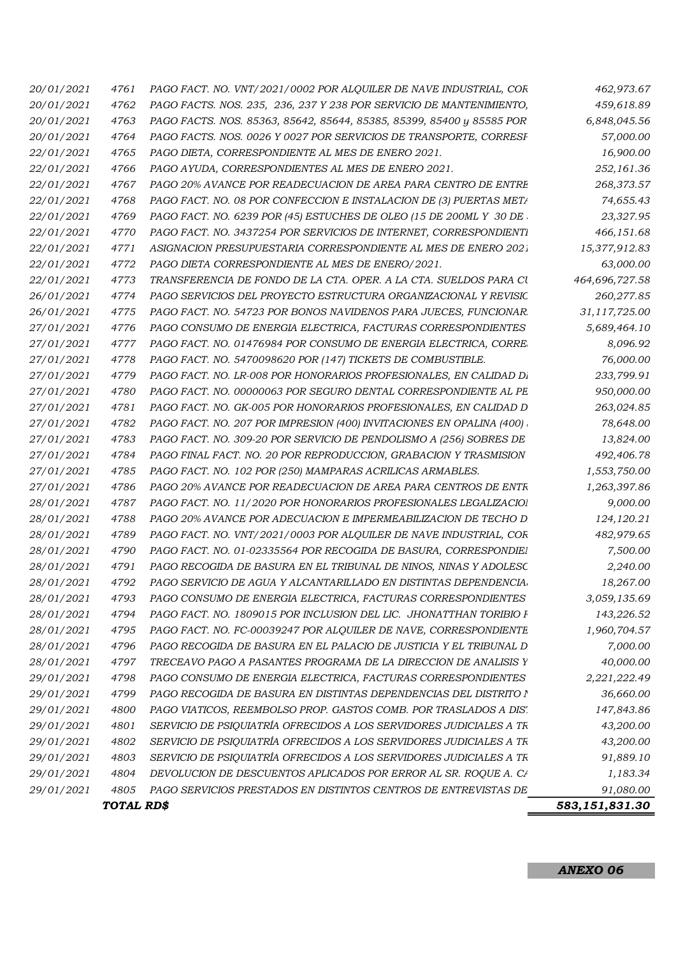|                          | TOTAL RD\$   |                                                                                                                                        | 583,151,831.30           |
|--------------------------|--------------|----------------------------------------------------------------------------------------------------------------------------------------|--------------------------|
| 29/01/2021               | 4805         | PAGO SERVICIOS PRESTADOS EN DISTINTOS CENTROS DE ENTREVISTAS DE                                                                        | 91,080.00                |
| 29/01/2021               | 4804         | DEVOLUCION DE DESCUENTOS APLICADOS POR ERROR AL SR. ROQUE A. CA                                                                        | 1,183.34                 |
| 29/01/2021               | 4803         | SERVICIO DE PSIQUIATRÍA OFRECIDOS A LOS SERVIDORES JUDICIALES A TR                                                                     | 91,889.10                |
| 29/01/2021               | 4802         | SERVICIO DE PSIQUIATRÍA OFRECIDOS A LOS SERVIDORES JUDICIALES A TR                                                                     | 43,200.00                |
| 29/01/2021               | 4801         | SERVICIO DE PSIQUIATRÍA OFRECIDOS A LOS SERVIDORES JUDICIALES A TR                                                                     | 43,200.00                |
| 29/01/2021               | 4800         | PAGO VIATICOS, REEMBOLSO PROP. GASTOS COMB. POR TRASLADOS A DIS'.                                                                      | 147,843.86               |
| 29/01/2021               | 4799         | PAGO RECOGIDA DE BASURA EN DISTINTAS DEPENDENCIAS DEL DISTRITO I                                                                       | 36,660.00                |
| 29/01/2021               | 4798         | PAGO CONSUMO DE ENERGIA ELECTRICA, FACTURAS CORRESPONDIENTES                                                                           | 2,221,222.49             |
| 28/01/2021               | 4797         | TRECEAVO PAGO A PASANTES PROGRAMA DE LA DIRECCION DE ANALISIS Y                                                                        | 40,000.00                |
| 28/01/2021               | 4796         | PAGO RECOGIDA DE BASURA EN EL PALACIO DE JUSTICIA Y EL TRIBUNAL D                                                                      | 7,000.00                 |
| 28/01/2021               | 4795         | PAGO FACT. NO. FC-00039247 POR ALQUILER DE NAVE, CORRESPONDIENTE                                                                       | 1,960,704.57             |
| 28/01/2021               | 4794         | PAGO FACT. NO. 1809015 POR INCLUSION DEL LIC. JHONATTHAN TORIBIO F                                                                     | 143,226.52               |
| 28/01/2021               | 4793         | PAGO CONSUMO DE ENERGIA ELECTRICA, FACTURAS CORRESPONDIENTES                                                                           | 3,059,135.69             |
| 28/01/2021               | 4792         | PAGO SERVICIO DE AGUA Y ALCANTARILLADO EN DISTINTAS DEPENDENCIA.                                                                       | 18,267.00                |
| 28/01/2021               | 4791         | PAGO RECOGIDA DE BASURA EN EL TRIBUNAL DE NINOS, NINAS Y ADOLESC                                                                       | 2,240.00                 |
| 28/01/2021               | 4790         | PAGO FACT. NO. 01-02335564 POR RECOGIDA DE BASURA, CORRESPONDIE1                                                                       | 7,500.00                 |
| 28/01/2021               | 4789         | PAGO FACT. NO. VNT/2021/0003 POR ALQUILER DE NAVE INDUSTRIAL, COR                                                                      | 482,979.65               |
| 28/01/2021               | 4788         | PAGO 20% AVANCE POR ADECUACION E IMPERMEABILIZACION DE TECHO D                                                                         | 124,120.21               |
| 28/01/2021               | 4787         | PAGO FACT. NO. 11/2020 POR HONORARIOS PROFESIONALES LEGALIZACIOI                                                                       | 9,000.00                 |
| 27/01/2021               | 4786         | PAGO 20% AVANCE POR READECUACION DE AREA PARA CENTROS DE ENTR                                                                          | 1,263,397.86             |
| 27/01/2021               | 4785         | PAGO FACT. NO. 102 POR (250) MAMPARAS ACRILICAS ARMABLES.                                                                              | 1,553,750.00             |
| 27/01/2021<br>27/01/2021 | 4784         | PAGO FACT. NO. 309-20 POR SERVICIO DE PENDOLISMO A (256) SOBRES DE<br>PAGO FINAL FACT. NO. 20 POR REPRODUCCION, GRABACION Y TRASMISION | 13,824.00<br>492,406.78  |
| 27/01/2021               | 4782<br>4783 | PAGO FACT. NO. 207 POR IMPRESION (400) INVITACIONES EN OPALINA (400)                                                                   | 78,648.00                |
| 27/01/2021               | 4781         | PAGO FACT. NO. GK-005 POR HONORARIOS PROFESIONALES, EN CALIDAD D                                                                       | 263,024.85               |
| 27/01/2021               | 4780         | PAGO FACT. NO. 00000063 POR SEGURO DENTAL CORRESPONDIENTE AL PE                                                                        | 950,000.00               |
| 27/01/2021               | 4779         | PAGO FACT. NO. LR-008 POR HONORARIOS PROFESIONALES, EN CALIDAD D.                                                                      | 233,799.91               |
| 27/01/2021               | 4778         | PAGO FACT. NO. 5470098620 POR (147) TICKETS DE COMBUSTIBLE.                                                                            | 76,000.00                |
| 27/01/2021               | 4777         | PAGO FACT. NO. 01476984 POR CONSUMO DE ENERGIA ELECTRICA, CORRE                                                                        | 8,096.92                 |
| 27/01/2021               | 4776         | PAGO CONSUMO DE ENERGIA ELECTRICA, FACTURAS CORRESPONDIENTES                                                                           | 5,689,464.10             |
| 26/01/2021               | 4775         | PAGO FACT. NO. 54723 POR BONOS NAVIDENOS PARA JUECES, FUNCIONAR                                                                        | 31,117,725.00            |
| 26/01/2021               | 4774         | PAGO SERVICIOS DEL PROYECTO ESTRUCTURA ORGANIZACIONAL Y REVISIC                                                                        | 260,277.85               |
| 22/01/2021               | 4773         | TRANSFERENCIA DE FONDO DE LA CTA. OPER. A LA CTA. SUELDOS PARA CU                                                                      | 464,696,727.58           |
| 22/01/2021               | 4772         | PAGO DIETA CORRESPONDIENTE AL MES DE ENERO/2021.                                                                                       | 63,000.00                |
| 22/01/2021               | 4771         | ASIGNACION PRESUPUESTARIA CORRESPONDIENTE AL MES DE ENERO 202.                                                                         | 15,377,912.83            |
| 22/01/2021               | 4770         | PAGO FACT. NO. 3437254 POR SERVICIOS DE INTERNET, CORRESPONDIENTI                                                                      | 466,151.68               |
| 22/01/2021               | 4769         | PAGO FACT. NO. 6239 POR (45) ESTUCHES DE OLEO (15 DE 200ML Y 30 DE.                                                                    | 23,327.95                |
| 22/01/2021               | 4768         | PAGO FACT. NO. 08 POR CONFECCION E INSTALACION DE (3) PUERTAS META                                                                     | 74,655.43                |
| 22/01/2021<br>22/01/2021 | 4766<br>4767 | PAGO AYUDA, CORRESPONDIENTES AL MES DE ENERO 2021.<br>PAGO 20% AVANCE POR READECUACION DE AREA PARA CENTRO DE ENTRE                    | 252,161.36<br>268,373.57 |
| 22/01/2021               | 4765         | PAGO DIETA, CORRESPONDIENTE AL MES DE ENERO 2021.                                                                                      | 16,900.00                |
| 20/01/2021               | 4764         | PAGO FACTS. NOS. 0026 Y 0027 POR SERVICIOS DE TRANSPORTE, CORRESI                                                                      | 57,000.00                |
| 20/01/2021               | 4763         | PAGO FACTS. NOS. 85363, 85642, 85644, 85385, 85399, 85400 y 85585 POR                                                                  | 6,848,045.56             |
| 20/01/2021               | 4762         | PAGO FACTS. NOS. 235, 236, 237 Y 238 POR SERVICIO DE MANTENIMIENTO,                                                                    | 459,618.89               |
| 20/01/2021               | 4761         | PAGO FACT. NO. VNT/2021/0002 POR ALQUILER DE NAVE INDUSTRIAL, COR                                                                      | 462,973.67               |
|                          |              |                                                                                                                                        |                          |

I